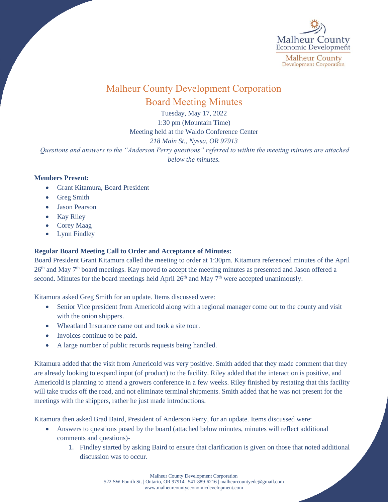

# Malheur County Development Corporation Board Meeting Minutes

Tuesday, May 17, 2022

1:30 pm (Mountain Time) Meeting held at the Waldo Conference Center

*218 Main St., Nyssa, OR 97913*

*Questions and answers to the "Anderson Perry questions" referred to within the meeting minutes are attached below the minutes.*

## **Members Present:**

- Grant Kitamura, Board President
- Greg Smith
- Jason Pearson
- Kay Riley
- Corey Maag
- **Lynn Findley**

## **Regular Board Meeting Call to Order and Acceptance of Minutes:**

Board President Grant Kitamura called the meeting to order at 1:30pm. Kitamura referenced minutes of the April  $26<sup>th</sup>$  and May 7<sup>th</sup> board meetings. Kay moved to accept the meeting minutes as presented and Jason offered a second. Minutes for the board meetings held April  $26<sup>th</sup>$  and May  $7<sup>th</sup>$  were accepted unanimously.

Kitamura asked Greg Smith for an update. Items discussed were:

- Senior Vice president from Americold along with a regional manager come out to the county and visit with the onion shippers.
- Wheatland Insurance came out and took a site tour.
- Invoices continue to be paid.
- A large number of public records requests being handled.

Kitamura added that the visit from Americold was very positive. Smith added that they made comment that they are already looking to expand input (of product) to the facility. Riley added that the interaction is positive, and Americold is planning to attend a growers conference in a few weeks. Riley finished by restating that this facility will take trucks off the road, and not eliminate terminal shipments. Smith added that he was not present for the meetings with the shippers, rather he just made introductions.

Kitamura then asked Brad Baird, President of Anderson Perry, for an update. Items discussed were:

- Answers to questions posed by the board (attached below minutes, minutes will reflect additional comments and questions)-
	- 1. Findley started by asking Baird to ensure that clarification is given on those that noted additional discussion was to occur.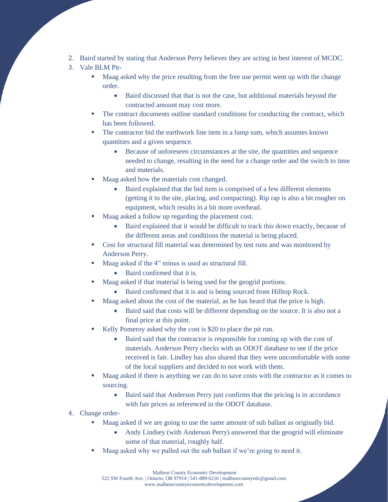- 2. Baird started by stating that Anderson Perry believes they are acting in best interest of MCDC.
- 3. Vale BLM Pit-
	- Maag asked why the price resulting from the free use permit went up with the change order.
		- Baird discussed that that is not the case, but additional materials beyond the contracted amount may cost more.
	- **•** The contract documents outline standard conditions for conducting the contract, which has been followed.
	- The contractor bid the earthwork line item in a lump sum, which assumes known quantities and a given sequence.
		- Because of unforeseen circumstances at the site, the quantities and sequence needed to change, resulting in the need for a change order and the switch to time and materials.
	- Maag asked how the materials cost changed.
		- Baird explained that the bid item is comprised of a few different elements (getting it to the site, placing, and compacting). Rip rap is also a bit rougher on equipment, which results in a bit more overhead.
	- Maag asked a follow up regarding the placement cost.
		- Baird explained that it would be difficult to track this down exactly, because of the different areas and conditions the material is being placed.
	- Cost for structural fill material was determined by test runs and was monitored by Anderson Perry.
	- Maag asked if the 4" minus is used as structural fill.
		- Baird confirmed that it is.
	- Maag asked if that material is being used for the geogrid portions.
		- Baird confirmed that it is and is being sourced from Hilltop Rock.
	- Maag asked about the cost of the material, as he has heard that the price is high.
		- Baird said that costs will be different depending on the source. It is also not a final price at this point.
	- Kelly Pomeroy asked why the cost is \$20 to place the pit run.
		- Baird said that the contractor is responsible for coming up with the cost of materials. Anderson Perry checks with an ODOT database to see if the price received is fair. Lindley has also shared that they were uncomfortable with some of the local suppliers and decided to not work with them.
	- Maag asked if there is anything we can do to save costs with the contractor as it comes to sourcing.
		- Baird said that Anderson Perry just confirms that the pricing is in accordance with fair prices as referenced in the ODOT database.
- 4. Change order-
	- Maag asked if we are going to use the same amount of sub ballast as originally bid.
		- Andy Lindsey (with Anderson Perry) answered that the geogrid will eliminate some of that material, roughly half.
	- Maag asked why we pulled out the sub ballast if we're going to need it.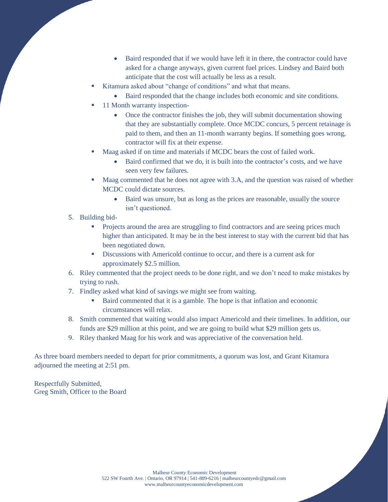- Baird responded that if we would have left it in there, the contractor could have asked for a change anyways, given current fuel prices. Lindsey and Baird both anticipate that the cost will actually be less as a result.
- Kitamura asked about "change of conditions" and what that means.
	- Baird responded that the change includes both economic and site conditions.
- 11 Month warranty inspection-
	- Once the contractor finishes the job, they will submit documentation showing that they are substantially complete. Once MCDC concurs, 5 percent retainage is paid to them, and then an 11-month warranty begins. If something goes wrong, contractor will fix at their expense.
- Maag asked if on time and materials if MCDC bears the cost of failed work.
	- Baird confirmed that we do, it is built into the contractor's costs, and we have seen very few failures.
- Maag commented that he does not agree with 3.A, and the question was raised of whether MCDC could dictate sources.
	- Baird was unsure, but as long as the prices are reasonable, usually the source isn't questioned.
- 5. Building bid-
	- **•** Projects around the area are struggling to find contractors and are seeing prices much higher than anticipated. It may be in the best interest to stay with the current bid that has been negotiated down.
	- **EXECUTE:** Discussions with Americold continue to occur, and there is a current ask for approximately \$2.5 million.
- 6. Riley commented that the project needs to be done right, and we don't need to make mistakes by trying to rush.
- 7. Findley asked what kind of savings we might see from waiting.
	- Baird commented that it is a gamble. The hope is that inflation and economic circumstances will relax.
- 8. Smith commented that waiting would also impact Americold and their timelines. In addition, our funds are \$29 million at this point, and we are going to build what \$29 million gets us.
- 9. Riley thanked Maag for his work and was appreciative of the conversation held.

As three board members needed to depart for prior commitments, a quorum was lost, and Grant Kitamura adjourned the meeting at 2:51 pm.

Respectfully Submitted, Greg Smith, Officer to the Board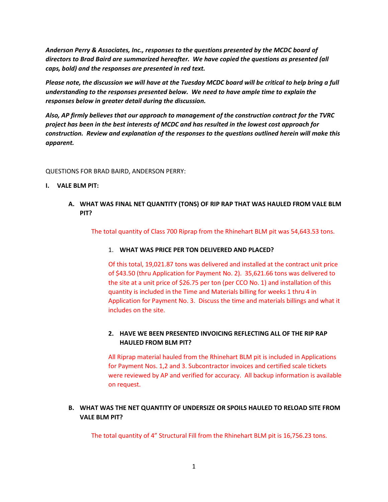*Anderson Perry & Associates, Inc., responses to the questions presented by the MCDC board of directors to Brad Baird are summarized hereafter. We have copied the questions as presented (all caps, bold) and the responses are presented in red text.* 

*Please note, the discussion we will have at the Tuesday MCDC board will be critical to help bring a full understanding to the responses presented below. We need to have ample time to explain the responses below in greater detail during the discussion.*

*Also, AP firmly believes that our approach to management of the construction contract for the TVRC project has been in the best interests of MCDC and has resulted in the lowest cost approach for construction. Review and explanation of the responses to the questions outlined herein will make this apparent.*

QUESTIONS FOR BRAD BAIRD, ANDERSON PERRY:

- **I. VALE BLM PIT:**
	- **A. WHAT WAS FINAL NET QUANTITY (TONS) OF RIP RAP THAT WAS HAULED FROM VALE BLM PIT?**

The total quantity of Class 700 Riprap from the Rhinehart BLM pit was 54,643.53 tons.

1. **WHAT WAS PRICE PER TON DELIVERED AND PLACED?**

Of this total, 19,021.87 tons was delivered and installed at the contract unit price of \$43.50 (thru Application for Payment No. 2). 35,621.66 tons was delivered to the site at a unit price of \$26.75 per ton (per CCO No. 1) and installation of this quantity is included in the Time and Materials billing for weeks 1 thru 4 in Application for Payment No. 3. Discuss the time and materials billings and what it includes on the site.

# **2. HAVE WE BEEN PRESENTED INVOICING REFLECTING ALL OF THE RIP RAP HAULED FROM BLM PIT?**

All Riprap material hauled from the Rhinehart BLM pit is included in Applications for Payment Nos. 1,2 and 3. Subcontractor invoices and certified scale tickets were reviewed by AP and verified for accuracy. All backup information is available on request.

## **B. WHAT WAS THE NET QUANTITY OF UNDERSIZE OR SPOILS HAULED TO RELOAD SITE FROM VALE BLM PIT?**

The total quantity of 4" Structural Fill from the Rhinehart BLM pit is 16,756.23 tons.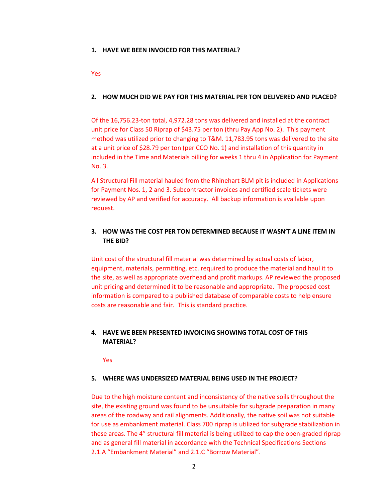#### **1. HAVE WE BEEN INVOICED FOR THIS MATERIAL?**

Yes

## **2. HOW MUCH DID WE PAY FOR THIS MATERIAL PER TON DELIVERED AND PLACED?**

Of the 16,756.23-ton total, 4,972.28 tons was delivered and installed at the contract unit price for Class 50 Riprap of \$43.75 per ton (thru Pay App No. 2). This payment method was utilized prior to changing to T&M. 11,783.95 tons was delivered to the site at a unit price of \$28.79 per ton (per CCO No. 1) and installation of this quantity in included in the Time and Materials billing for weeks 1 thru 4 in Application for Payment No. 3.

All Structural Fill material hauled from the Rhinehart BLM pit is included in Applications for Payment Nos. 1, 2 and 3. Subcontractor invoices and certified scale tickets were reviewed by AP and verified for accuracy. All backup information is available upon request.

## **3. HOW WAS THE COST PER TON DETERMINED BECAUSE IT WASN'T A LINE ITEM IN THE BID?**

Unit cost of the structural fill material was determined by actual costs of labor, equipment, materials, permitting, etc. required to produce the material and haul it to the site, as well as appropriate overhead and profit markups. AP reviewed the proposed unit pricing and determined it to be reasonable and appropriate. The proposed cost information is compared to a published database of comparable costs to help ensure costs are reasonable and fair. This is standard practice.

# **4. HAVE WE BEEN PRESENTED INVOICING SHOWING TOTAL COST OF THIS MATERIAL?**

Yes

## **5. WHERE WAS UNDERSIZED MATERIAL BEING USED IN THE PROJECT?**

Due to the high moisture content and inconsistency of the native soils throughout the site, the existing ground was found to be unsuitable for subgrade preparation in many areas of the roadway and rail alignments. Additionally, the native soil was not suitable for use as embankment material. Class 700 riprap is utilized for subgrade stabilization in these areas. The 4" structural fill material is being utilized to cap the open-graded riprap and as general fill material in accordance with the Technical Specifications Sections 2.1.A "Embankment Material" and 2.1.C "Borrow Material".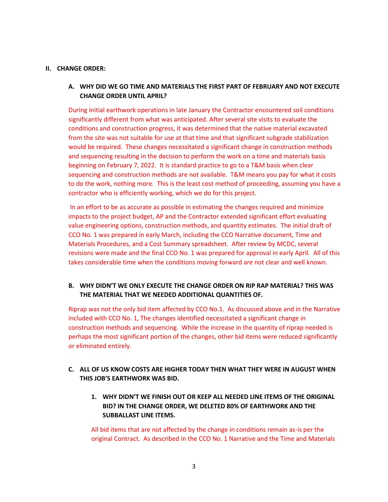#### **II. CHANGE ORDER:**

## **A. WHY DID WE GO TIME AND MATERIALS THE FIRST PART OF FEBRUARY AND NOT EXECUTE CHANGE ORDER UNTIL APRIL?**

During initial earthwork operations in late January the Contractor encountered soil conditions significantly different from what was anticipated. After several site visits to evaluate the conditions and construction progress, it was determined that the native material excavated from the site was not suitable for use at that time and that significant subgrade stabilization would be required. These changes necessitated a significant change in construction methods and sequencing resulting in the decision to perform the work on a time and materials basis beginning on February 7, 2022. It is standard practice to go to a T&M basis when clear sequencing and construction methods are not available. T&M means you pay for what it costs to do the work, nothing more. This is the least cost method of proceeding, assuming you have a contractor who is efficiently working, which we do for this project.

In an effort to be as accurate as possible in estimating the changes required and minimize impacts to the project budget, AP and the Contractor extended significant effort evaluating value engineering options, construction methods, and quantity estimates. The initial draft of CCO No. 1 was prepared in early March, including the CCO Narrative document, Time and Materials Procedures, and a Cost Summary spreadsheet. After review by MCDC, several revisions were made and the final CCO No. 1 was prepared for approval in early April. All of this takes considerable time when the conditions moving forward are not clear and well known.

## **B. WHY DIDN'T WE ONLY EXECUTE THE CHANGE ORDER ON RIP RAP MATERIAL? THIS WAS THE MATERIAL THAT WE NEEDED ADDITIONAL QUANTITIES OF.**

Riprap was not the only bid item affected by CCO No.1. As discussed above and in the Narrative included with CCO No. 1, The changes identified necessitated a significant change in construction methods and sequencing. While the increase in the quantity of riprap needed is perhaps the most significant portion of the changes, other bid items were reduced significantly or eliminated entirely.

## **C. ALL OF US KNOW COSTS ARE HIGHER TODAY THEN WHAT THEY WERE IN AUGUST WHEN THIS JOB'S EARTHWORK WAS BID.**

**1. WHY DIDN'T WE FINISH OUT OR KEEP ALL NEEDED LINE ITEMS OF THE ORIGINAL BID? IN THE CHANGE ORDER, WE DELETED 80% OF EARTHWORK AND THE SUBBALLAST LINE ITEMS.**

All bid items that are not affected by the change in conditions remain as-is per the original Contract. As described in the CCO No. 1 Narrative and the Time and Materials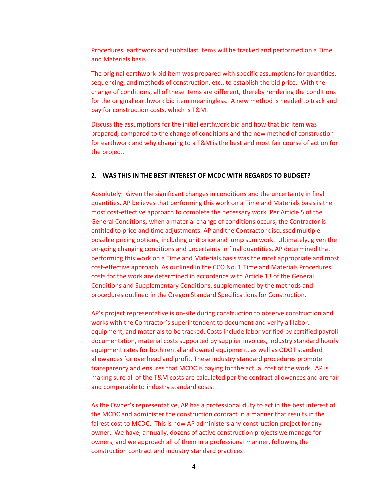Procedures, earthwork and subballast items will be tracked and performed on a Time and Materials basis.

The original earthwork bid item was prepared with specific assumptions for quantities, sequencing, and methods of construction, etc., to establish the bid price. With the change of conditions, all of these items are different, thereby rendering the conditions for the original earthwork bid item meaningless. A new method is needed to track and pay for construction costs, which is T&M.

Discuss the assumptions for the initial earthwork bid and how that bid item was prepared, compared to the change of conditions and the new method of construction for earthwork and why changing to a T&M is the best and most fair course of action for the project.

#### **2. WAS THIS IN THE BEST INTEREST OF MCDC WITH REGARDS TO BUDGET?**

Absolutely. Given the significant changes in conditions and the uncertainty in final quantities, AP believes that performing this work on a Time and Materials basis is the most cost-effective approach to complete the necessary work. Per Article 5 of the General Conditions, when a material change of conditions occurs, the Contractor is entitled to price and time adjustments. AP and the Contractor discussed multiple possible pricing options, including unit price and lump sum work. Ultimately, given the on-going changing conditions and uncertainty in final quantities, AP determined that performing this work on a Time and Materials basis was the most appropriate and most cost-effective approach. As outlined in the CCO No. 1 Time and Materials Procedures, costs for the work are determined in accordance with Article 13 of the General Conditions and Supplementary Conditions, supplemented by the methods and procedures outlined in the Oregon Standard Specifications for Construction.

AP's project representative is on-site during construction to observe construction and works with the Contractor's superintendent to document and verify all labor, equipment, and materials to be tracked. Costs include labor verified by certified payroll documentation, material costs supported by supplier invoices, industry standard hourly equipment rates for both rental and owned equipment, as well as ODOT standard allowances for overhead and profit. These industry standard procedures promote transparency and ensures that MCDC is paying for the actual cost of the work. AP is making sure all of the T&M costs are calculated per the contract allowances and are fair and comparable to industry standard costs.

As the Owner's representative, AP has a professional duty to act in the best interest of the MCDC and administer the construction contract in a manner that results in the fairest cost to MCDC. This is how AP administers any construction project for any owner. We have, annually, dozens of active construction projects we manage for owners, and we approach all of them in a professional manner, following the construction contract and industry standard practices.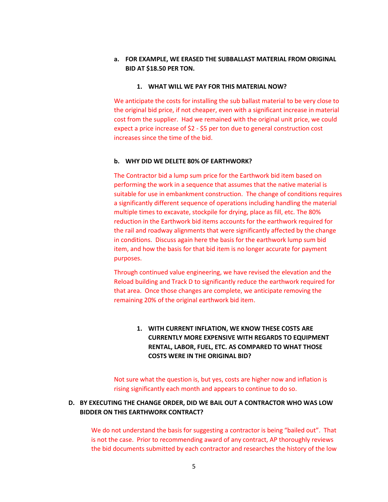## **a. FOR EXAMPLE, WE ERASED THE SUBBALLAST MATERIAL FROM ORIGINAL BID AT \$18.50 PER TON.**

#### **1. WHAT WILL WE PAY FOR THIS MATERIAL NOW?**

We anticipate the costs for installing the sub ballast material to be very close to the original bid price, if not cheaper, even with a significant increase in material cost from the supplier. Had we remained with the original unit price, we could expect a price increase of \$2 - \$5 per ton due to general construction cost increases since the time of the bid.

#### **b. WHY DID WE DELETE 80% OF EARTHWORK?**

The Contractor bid a lump sum price for the Earthwork bid item based on performing the work in a sequence that assumes that the native material is suitable for use in embankment construction. The change of conditions requires a significantly different sequence of operations including handling the material multiple times to excavate, stockpile for drying, place as fill, etc. The 80% reduction in the Earthwork bid items accounts for the earthwork required for the rail and roadway alignments that were significantly affected by the change in conditions. Discuss again here the basis for the earthwork lump sum bid item, and how the basis for that bid item is no longer accurate for payment purposes.

Through continued value engineering, we have revised the elevation and the Reload building and Track D to significantly reduce the earthwork required for that area. Once those changes are complete, we anticipate removing the remaining 20% of the original earthwork bid item.

> **1. WITH CURRENT INFLATION, WE KNOW THESE COSTS ARE CURRENTLY MORE EXPENSIVE WITH REGARDS TO EQUIPMENT RENTAL, LABOR, FUEL, ETC. AS COMPARED TO WHAT THOSE COSTS WERE IN THE ORIGINAL BID?**

Not sure what the question is, but yes, costs are higher now and inflation is rising significantly each month and appears to continue to do so.

## **D. BY EXECUTING THE CHANGE ORDER, DID WE BAIL OUT A CONTRACTOR WHO WAS LOW BIDDER ON THIS EARTHWORK CONTRACT?**

We do not understand the basis for suggesting a contractor is being "bailed out". That is not the case. Prior to recommending award of any contract, AP thoroughly reviews the bid documents submitted by each contractor and researches the history of the low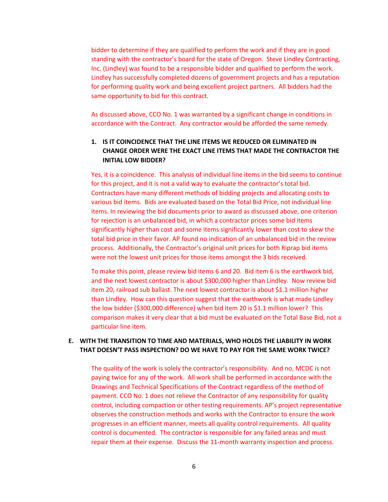bidder to determine if they are qualified to perform the work and if they are in good standing with the contractor's board for the state of Oregon. Steve Lindley Contracting, Inc. (Lindley) was found to be a responsible bidder and qualified to perform the work. Lindley has successfully completed dozens of government projects and has a reputation for performing quality work and being excellent project partners. All bidders had the same opportunity to bid for this contract.

As discussed above, CCO No. 1 was warranted by a significant change in conditions in accordance with the Contract. Any contractor would be afforded the same remedy.

# **1. IS IT COINCIDENCE THAT THE LINE ITEMS WE REDUCED OR ELIMINATED IN CHANGE ORDER WERE THE EXACT LINE ITEMS THAT MADE THE CONTRACTOR THE INITIAL LOW BIDDER?**

Yes, it is a coincidence. This analysis of individual line items in the bid seems to continue for this project, and it is not a valid way to evaluate the contractor's total bid. Contractors have many different methods of bidding projects and allocating costs to various bid items. Bids are evaluated based on the Total Bid Price, not individual line items. In reviewing the bid documents prior to award as discussed above, one criterion for rejection is an unbalanced bid, in which a contractor prices some bid items significantly higher than cost and some items significantly lower than cost to skew the total bid price in their favor. AP found no indication of an unbalanced bid in the review process. Additionally, the Contractor's original unit prices for both Riprap bid items were not the lowest unit prices for those items amongst the 3 bids received.

To make this point, please review bid items 6 and 20. Bid item 6 is the earthwork bid, and the next lowest contractor is about \$300,000 higher than Lindley. Now review bid item 20, railroad sub ballast. The next lowest contractor is about \$1.1 million higher than Lindley. How can this question suggest that the earthwork is what made Lindley the low bidder (\$300,000 difference) when bid item 20 is \$1.1 million lower? This comparison makes it very clear that a bid must be evaluated on the Total Base Bid, not a particular line item.

## **E. WITH THE TRANSITION TO TIME AND MATERIALS, WHO HOLDS THE LIABILITY IN WORK THAT DOESN'T PASS INSPECTION? DO WE HAVE TO PAY FOR THE SAME WORK TWICE?**

The quality of the work is solely the contractor's responsibility. And no, MCDC is not paying twice for any of the work. All work shall be performed in accordance with the Drawings and Technical Specifications of the Contract regardless of the method of payment. CCO No. 1 does not relieve the Contractor of any responsibility for quality control, including compaction or other testing requirements. AP's project representative observes the construction methods and works with the Contractor to ensure the work progresses in an efficient manner, meets all quality control requirements. All quality control is documented. The contractor is responsible for any failed areas and must repair them at their expense. Discuss the 11-month warranty inspection and process.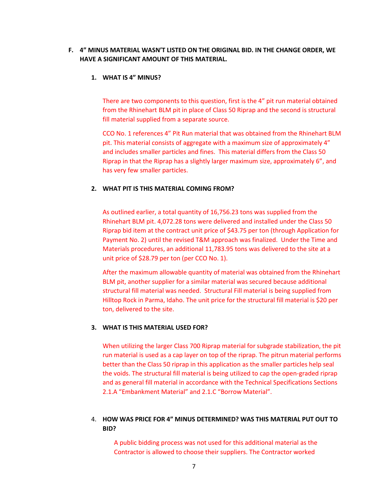## **F. 4" MINUS MATERIAL WASN'T LISTED ON THE ORIGINAL BID. IN THE CHANGE ORDER, WE HAVE A SIGNIFICANT AMOUNT OF THIS MATERIAL.**

## **1. WHAT IS 4" MINUS?**

There are two components to this question, first is the 4" pit run material obtained from the Rhinehart BLM pit in place of Class 50 Riprap and the second is structural fill material supplied from a separate source.

CCO No. 1 references 4" Pit Run material that was obtained from the Rhinehart BLM pit. This material consists of aggregate with a maximum size of approximately 4" and includes smaller particles and fines. This material differs from the Class 50 Riprap in that the Riprap has a slightly larger maximum size, approximately 6", and has very few smaller particles.

#### **2. WHAT PIT IS THIS MATERIAL COMING FROM?**

As outlined earlier, a total quantity of 16,756.23 tons was supplied from the Rhinehart BLM pit. 4,072.28 tons were delivered and installed under the Class 50 Riprap bid item at the contract unit price of \$43.75 per ton (through Application for Payment No. 2) until the revised T&M approach was finalized. Under the Time and Materials procedures, an additional 11,783.95 tons was delivered to the site at a unit price of \$28.79 per ton (per CCO No. 1).

After the maximum allowable quantity of material was obtained from the Rhinehart BLM pit, another supplier for a similar material was secured because additional structural fill material was needed. Structural Fill material is being supplied from Hilltop Rock in Parma, Idaho. The unit price for the structural fill material is \$20 per ton, delivered to the site.

#### **3. WHAT IS THIS MATERIAL USED FOR?**

When utilizing the larger Class 700 Riprap material for subgrade stabilization, the pit run material is used as a cap layer on top of the riprap. The pitrun material performs better than the Class 50 riprap in this application as the smaller particles help seal the voids. The structural fill material is being utilized to cap the open-graded riprap and as general fill material in accordance with the Technical Specifications Sections 2.1.A "Embankment Material" and 2.1.C "Borrow Material".

## 4. **HOW WAS PRICE FOR 4" MINUS DETERMINED? WAS THIS MATERIAL PUT OUT TO BID?**

A public bidding process was not used for this additional material as the Contractor is allowed to choose their suppliers. The Contractor worked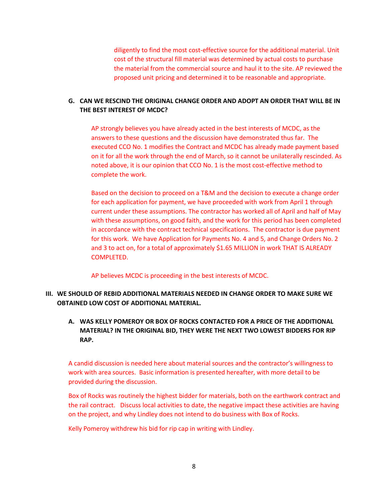diligently to find the most cost-effective source for the additional material. Unit cost of the structural fill material was determined by actual costs to purchase the material from the commercial source and haul it to the site. AP reviewed the proposed unit pricing and determined it to be reasonable and appropriate.

## **G. CAN WE RESCIND THE ORIGINAL CHANGE ORDER AND ADOPT AN ORDER THAT WILL BE IN THE BEST INTEREST OF MCDC?**

AP strongly believes you have already acted in the best interests of MCDC, as the answers to these questions and the discussion have demonstrated thus far. The executed CCO No. 1 modifies the Contract and MCDC has already made payment based on it for all the work through the end of March, so it cannot be unilaterally rescinded. As noted above, it is our opinion that CCO No. 1 is the most cost-effective method to complete the work.

Based on the decision to proceed on a T&M and the decision to execute a change order for each application for payment, we have proceeded with work from April 1 through current under these assumptions. The contractor has worked all of April and half of May with these assumptions, on good faith, and the work for this period has been completed in accordance with the contract technical specifications. The contractor is due payment for this work. We have Application for Payments No. 4 and 5, and Change Orders No. 2 and 3 to act on, for a total of approximately \$1.65 MILLION in work THAT IS ALREADY COMPLETED.

AP believes MCDC is proceeding in the best interests of MCDC.

## **III. WE SHOULD OF REBID ADDITIONAL MATERIALS NEEDED IN CHANGE ORDER TO MAKE SURE WE OBTAINED LOW COST OF ADDITIONAL MATERIAL.**

**A. WAS KELLY POMEROY OR BOX OF ROCKS CONTACTED FOR A PRICE OF THE ADDITIONAL MATERIAL? IN THE ORIGINAL BID, THEY WERE THE NEXT TWO LOWEST BIDDERS FOR RIP RAP.**

A candid discussion is needed here about material sources and the contractor's willingness to work with area sources. Basic information is presented hereafter, with more detail to be provided during the discussion.

Box of Rocks was routinely the highest bidder for materials, both on the earthwork contract and the rail contract. Discuss local activities to date, the negative impact these activities are having on the project, and why Lindley does not intend to do business with Box of Rocks.

Kelly Pomeroy withdrew his bid for rip cap in writing with Lindley.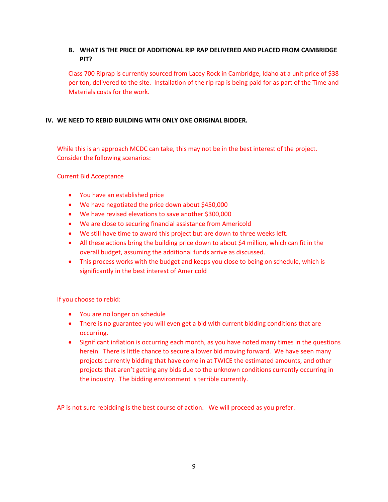## **B. WHAT IS THE PRICE OF ADDITIONAL RIP RAP DELIVERED AND PLACED FROM CAMBRIDGE PIT?**

Class 700 Riprap is currently sourced from Lacey Rock in Cambridge, Idaho at a unit price of \$38 per ton, delivered to the site. Installation of the rip rap is being paid for as part of the Time and Materials costs for the work.

## **IV. WE NEED TO REBID BUILDING WITH ONLY ONE ORIGINAL BIDDER.**

While this is an approach MCDC can take, this may not be in the best interest of the project. Consider the following scenarios:

Current Bid Acceptance

- You have an established price
- We have negotiated the price down about \$450,000
- We have revised elevations to save another \$300,000
- We are close to securing financial assistance from Americold
- We still have time to award this project but are down to three weeks left.
- All these actions bring the building price down to about \$4 million, which can fit in the overall budget, assuming the additional funds arrive as discussed.
- This process works with the budget and keeps you close to being on schedule, which is significantly in the best interest of Americold

If you choose to rebid:

- You are no longer on schedule
- There is no guarantee you will even get a bid with current bidding conditions that are occurring.
- Significant inflation is occurring each month, as you have noted many times in the questions herein. There is little chance to secure a lower bid moving forward. We have seen many projects currently bidding that have come in at TWICE the estimated amounts, and other projects that aren't getting any bids due to the unknown conditions currently occurring in the industry. The bidding environment is terrible currently.

AP is not sure rebidding is the best course of action. We will proceed as you prefer.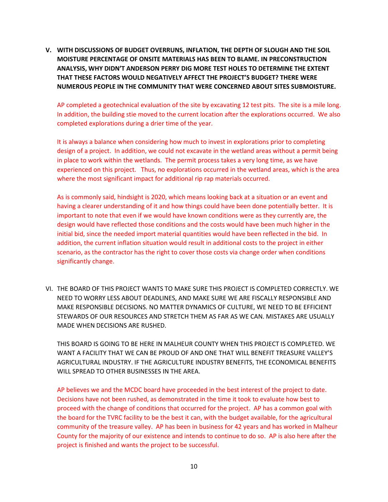**V. WITH DISCUSSIONS OF BUDGET OVERRUNS, INFLATION, THE DEPTH OF SLOUGH AND THE SOIL MOISTURE PERCENTAGE OF ONSITE MATERIALS HAS BEEN TO BLAME. IN PRECONSTRUCTION ANALYSIS, WHY DIDN'T ANDERSON PERRY DIG MORE TEST HOLES TO DETERMINE THE EXTENT THAT THESE FACTORS WOULD NEGATIVELY AFFECT THE PROJECT'S BUDGET? THERE WERE NUMEROUS PEOPLE IN THE COMMUNITY THAT WERE CONCERNED ABOUT SITES SUBMOISTURE.**

AP completed a geotechnical evaluation of the site by excavating 12 test pits. The site is a mile long. In addition, the building stie moved to the current location after the explorations occurred. We also completed explorations during a drier time of the year.

It is always a balance when considering how much to invest in explorations prior to completing design of a project. In addition, we could not excavate in the wetland areas without a permit being in place to work within the wetlands. The permit process takes a very long time, as we have experienced on this project. Thus, no explorations occurred in the wetland areas, which is the area where the most significant impact for additional rip rap materials occurred.

As is commonly said, hindsight is 2020, which means looking back at a situation or an event and having a clearer understanding of it and how things could have been done potentially better. It is important to note that even if we would have known conditions were as they currently are, the design would have reflected those conditions and the costs would have been much higher in the initial bid, since the needed import material quantities would have been reflected in the bid. In addition, the current inflation situation would result in additional costs to the project in either scenario, as the contractor has the right to cover those costs via change order when conditions significantly change.

VI. THE BOARD OF THIS PROJECT WANTS TO MAKE SURE THIS PROJECT IS COMPLETED CORRECTLY. WE NEED TO WORRY LESS ABOUT DEADLINES, AND MAKE SURE WE ARE FISCALLY RESPONSIBLE AND MAKE RESPONSIBLE DECISIONS. NO MATTER DYNAMICS OF CULTURE, WE NEED TO BE EFFICIENT STEWARDS OF OUR RESOURCES AND STRETCH THEM AS FAR AS WE CAN. MISTAKES ARE USUALLY MADE WHEN DECISIONS ARE RUSHED.

THIS BOARD IS GOING TO BE HERE IN MALHEUR COUNTY WHEN THIS PROJECT IS COMPLETED. WE WANT A FACILITY THAT WE CAN BE PROUD OF AND ONE THAT WILL BENEFIT TREASURE VALLEY'S AGRICULTURAL INDUSTRY. IF THE AGRICULTURE INDUSTRY BENEFITS, THE ECONOMICAL BENEFITS WILL SPREAD TO OTHER BUSINESSES IN THE AREA.

AP believes we and the MCDC board have proceeded in the best interest of the project to date. Decisions have not been rushed, as demonstrated in the time it took to evaluate how best to proceed with the change of conditions that occurred for the project. AP has a common goal with the board for the TVRC facility to be the best it can, with the budget available, for the agricultural community of the treasure valley. AP has been in business for 42 years and has worked in Malheur County for the majority of our existence and intends to continue to do so. AP is also here after the project is finished and wants the project to be successful.